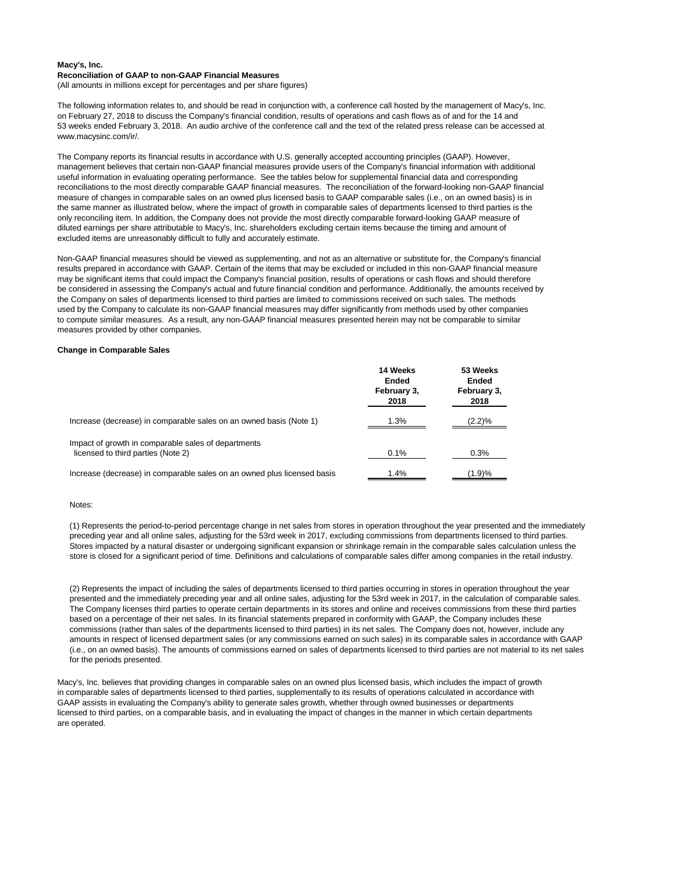## **Macy's, Inc. Reconciliation of GAAP to non-GAAP Financial Measures**

(All amounts in millions except for percentages and per share figures)

The following information relates to, and should be read in conjunction with, a conference call hosted by the management of Macy's, Inc. on February 27, 2018 to discuss the Company's financial condition, results of operations and cash flows as of and for the 14 and 53 weeks ended February 3, 2018. An audio archive of the conference call and the text of the related press release can be accessed at www.macysinc.com/ir/.

The Company reports its financial results in accordance with U.S. generally accepted accounting principles (GAAP). However, management believes that certain non-GAAP financial measures provide users of the Company's financial information with additional useful information in evaluating operating performance. See the tables below for supplemental financial data and corresponding reconciliations to the most directly comparable GAAP financial measures. The reconciliation of the forward-looking non-GAAP financial measure of changes in comparable sales on an owned plus licensed basis to GAAP comparable sales (i.e., on an owned basis) is in the same manner as illustrated below, where the impact of growth in comparable sales of departments licensed to third parties is the only reconciling item. In addition, the Company does not provide the most directly comparable forward-looking GAAP measure of diluted earnings per share attributable to Macy's, Inc. shareholders excluding certain items because the timing and amount of excluded items are unreasonably difficult to fully and accurately estimate.

Non-GAAP financial measures should be viewed as supplementing, and not as an alternative or substitute for, the Company's financial results prepared in accordance with GAAP. Certain of the items that may be excluded or included in this non-GAAP financial measure may be significant items that could impact the Company's financial position, results of operations or cash flows and should therefore be considered in assessing the Company's actual and future financial condition and performance. Additionally, the amounts received by the Company on sales of departments licensed to third parties are limited to commissions received on such sales. The methods used by the Company to calculate its non-GAAP financial measures may differ significantly from methods used by other companies to compute similar measures. As a result, any non-GAAP financial measures presented herein may not be comparable to similar measures provided by other companies.

## **Change in Comparable Sales**

|                                                                                           | 14 Weeks<br><b>Ended</b><br>February 3,<br>2018 | 53 Weeks<br><b>Ended</b><br>February 3,<br>2018 |
|-------------------------------------------------------------------------------------------|-------------------------------------------------|-------------------------------------------------|
| Increase (decrease) in comparable sales on an owned basis (Note 1)                        | 1.3%                                            | (2.2)%                                          |
| Impact of growth in comparable sales of departments<br>licensed to third parties (Note 2) | 0.1%                                            | 0.3%                                            |
| Increase (decrease) in comparable sales on an owned plus licensed basis                   | 1.4%                                            | (1.9)%                                          |

#### Notes:

(1) Represents the period-to-period percentage change in net sales from stores in operation throughout the year presented and the immediately preceding year and all online sales, adjusting for the 53rd week in 2017, excluding commissions from departments licensed to third parties. Stores impacted by a natural disaster or undergoing significant expansion or shrinkage remain in the comparable sales calculation unless the store is closed for a significant period of time. Definitions and calculations of comparable sales differ among companies in the retail industry.

(2) Represents the impact of including the sales of departments licensed to third parties occurring in stores in operation throughout the year presented and the immediately preceding year and all online sales, adjusting for the 53rd week in 2017, in the calculation of comparable sales. The Company licenses third parties to operate certain departments in its stores and online and receives commissions from these third parties based on a percentage of their net sales. In its financial statements prepared in conformity with GAAP, the Company includes these commissions (rather than sales of the departments licensed to third parties) in its net sales. The Company does not, however, include any amounts in respect of licensed department sales (or any commissions earned on such sales) in its comparable sales in accordance with GAAP (i.e., on an owned basis). The amounts of commissions earned on sales of departments licensed to third parties are not material to its net sales for the periods presented.

Macy's, Inc. believes that providing changes in comparable sales on an owned plus licensed basis, which includes the impact of growth in comparable sales of departments licensed to third parties, supplementally to its results of operations calculated in accordance with GAAP assists in evaluating the Company's ability to generate sales growth, whether through owned businesses or departments licensed to third parties, on a comparable basis, and in evaluating the impact of changes in the manner in which certain departments are operated.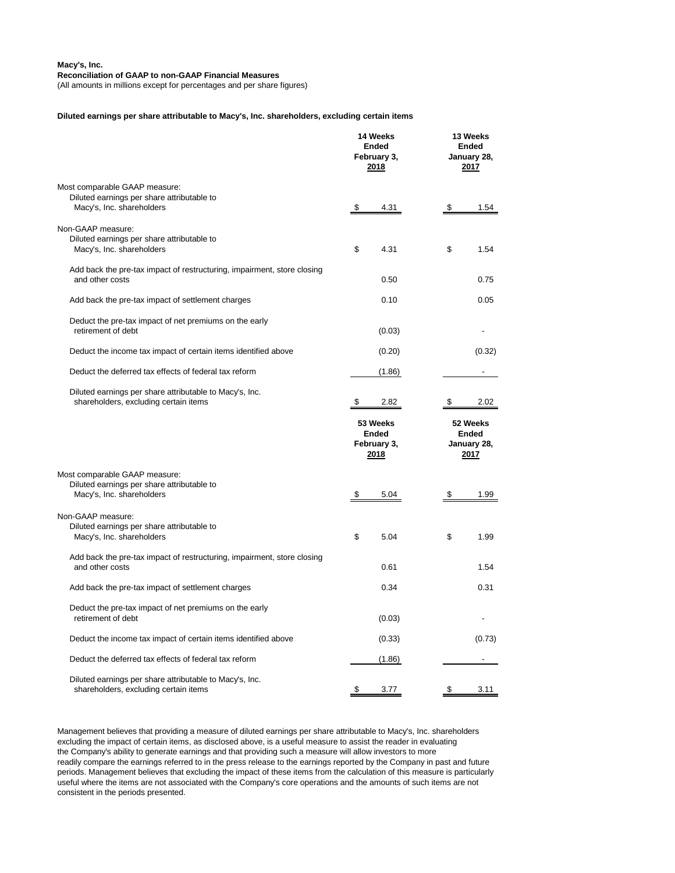### **Macy's, Inc. Reconciliation of GAAP to non-GAAP Financial Measures**

(All amounts in millions except for percentages and per share figures)

#### **Diluted earnings per share attributable to Macy's, Inc. shareholders, excluding certain items**

|                                                                                                  | 14 Weeks<br><b>Ended</b><br>February 3,<br>2018 |        | 13 Weeks<br><b>Ended</b><br>January 28,<br>2017 |                                                 |
|--------------------------------------------------------------------------------------------------|-------------------------------------------------|--------|-------------------------------------------------|-------------------------------------------------|
| Most comparable GAAP measure:                                                                    |                                                 |        |                                                 |                                                 |
| Diluted earnings per share attributable to<br>Macy's, Inc. shareholders                          |                                                 | 4.31   |                                                 | 1.54                                            |
|                                                                                                  |                                                 |        | P.                                              |                                                 |
| Non-GAAP measure:                                                                                |                                                 |        |                                                 |                                                 |
| Diluted earnings per share attributable to                                                       | \$                                              | 4.31   | \$                                              | 1.54                                            |
| Macy's, Inc. shareholders                                                                        |                                                 |        |                                                 |                                                 |
| Add back the pre-tax impact of restructuring, impairment, store closing                          |                                                 |        |                                                 |                                                 |
| and other costs                                                                                  |                                                 | 0.50   |                                                 | 0.75                                            |
| Add back the pre-tax impact of settlement charges                                                |                                                 | 0.10   |                                                 | 0.05                                            |
| Deduct the pre-tax impact of net premiums on the early                                           |                                                 |        |                                                 |                                                 |
| retirement of debt                                                                               |                                                 | (0.03) |                                                 |                                                 |
| Deduct the income tax impact of certain items identified above                                   |                                                 | (0.20) |                                                 | (0.32)                                          |
| Deduct the deferred tax effects of federal tax reform                                            |                                                 | (1.86) |                                                 |                                                 |
|                                                                                                  |                                                 |        |                                                 |                                                 |
| Diluted earnings per share attributable to Macy's, Inc.<br>shareholders, excluding certain items | S                                               | 2.82   | æ.                                              | 2.02                                            |
|                                                                                                  | 53 Weeks<br><b>Ended</b><br>February 3,<br>2018 |        |                                                 |                                                 |
|                                                                                                  |                                                 |        |                                                 | 52 Weeks<br><b>Ended</b><br>January 28,<br>2017 |
| Most comparable GAAP measure:                                                                    |                                                 |        |                                                 |                                                 |
| Diluted earnings per share attributable to                                                       |                                                 |        |                                                 |                                                 |
| Macy's, Inc. shareholders                                                                        | \$                                              | 5.04   | \$.                                             | 1.99                                            |
| Non-GAAP measure:                                                                                |                                                 |        |                                                 |                                                 |
| Diluted earnings per share attributable to                                                       |                                                 |        |                                                 |                                                 |
| Macy's, Inc. shareholders                                                                        | \$                                              | 5.04   | \$                                              | 1.99                                            |
| Add back the pre-tax impact of restructuring, impairment, store closing                          |                                                 |        |                                                 |                                                 |
| and other costs                                                                                  |                                                 | 0.61   |                                                 | 1.54                                            |
| Add back the pre-tax impact of settlement charges                                                |                                                 | 0.34   |                                                 | 0.31                                            |
|                                                                                                  |                                                 |        |                                                 |                                                 |
| Deduct the pre-tax impact of net premiums on the early<br>retirement of debt                     |                                                 | (0.03) |                                                 |                                                 |
| Deduct the income tax impact of certain items identified above                                   |                                                 | (0.33) |                                                 | (0.73)                                          |
| Deduct the deferred tax effects of federal tax reform                                            |                                                 | (1.86) |                                                 |                                                 |
| Diluted earnings per share attributable to Macy's, Inc.                                          |                                                 |        |                                                 |                                                 |

Management believes that providing a measure of diluted earnings per share attributable to Macy's, Inc. shareholders excluding the impact of certain items, as disclosed above, is a useful measure to assist the reader in evaluating the Company's ability to generate earnings and that providing such a measure will allow investors to more readily compare the earnings referred to in the press release to the earnings reported by the Company in past and future periods. Management believes that excluding the impact of these items from the calculation of this measure is particularly useful where the items are not associated with the Company's core operations and the amounts of such items are not consistent in the periods presented.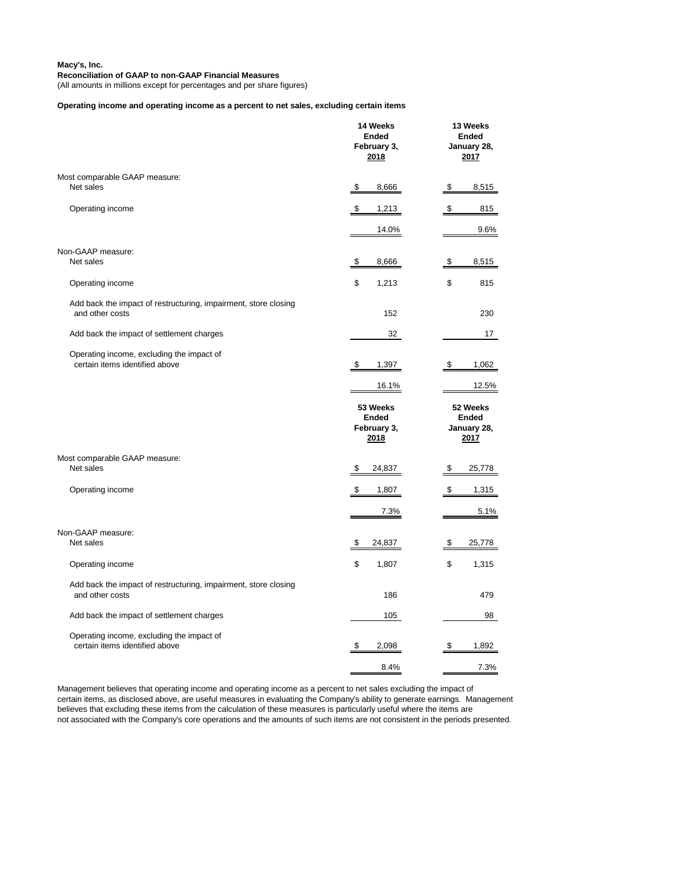**Macy's, Inc.**

# **Reconciliation of GAAP to non-GAAP Financial Measures**

(All amounts in millions except for percentages and per share figures)

**Operating income and operating income as a percent to net sales, excluding certain items**

|                                                                                    | 14 Weeks<br><b>Ended</b><br>February 3,<br>2018 | 13 Weeks<br><b>Ended</b><br>January 28,<br>2017 |  |
|------------------------------------------------------------------------------------|-------------------------------------------------|-------------------------------------------------|--|
| Most comparable GAAP measure:                                                      |                                                 |                                                 |  |
| Net sales                                                                          | \$<br>8,666                                     | \$<br>8,515                                     |  |
| Operating income                                                                   | \$<br>1,213                                     | \$<br>815                                       |  |
|                                                                                    | 14.0%                                           | 9.6%                                            |  |
| Non-GAAP measure:                                                                  |                                                 |                                                 |  |
| Net sales                                                                          | 8,666<br>\$                                     | 8,515<br>\$                                     |  |
| Operating income                                                                   | 1,213<br>\$                                     | \$<br>815                                       |  |
| Add back the impact of restructuring, impairment, store closing                    |                                                 |                                                 |  |
| and other costs                                                                    | 152                                             | 230                                             |  |
| Add back the impact of settlement charges                                          | 32                                              | 17                                              |  |
| Operating income, excluding the impact of<br>certain items identified above        | 1,397<br>\$                                     | 1,062<br>\$                                     |  |
|                                                                                    | 16.1%                                           | 12.5%                                           |  |
|                                                                                    | 53 Weeks<br><b>Ended</b>                        | 52 Weeks<br><b>Ended</b><br>January 28,         |  |
|                                                                                    | February 3,<br>2018                             | 2017                                            |  |
| Most comparable GAAP measure:                                                      |                                                 |                                                 |  |
| Net sales                                                                          | 24,837<br>\$                                    | 25,778<br>\$                                    |  |
| Operating income                                                                   | \$<br>1,807                                     | ¢<br>1,315                                      |  |
|                                                                                    | 7.3%                                            | 5.1%                                            |  |
| Non-GAAP measure:                                                                  |                                                 |                                                 |  |
| Net sales                                                                          | \$<br>24,837                                    | 25,778<br>\$                                    |  |
| Operating income                                                                   | \$<br>1,807                                     | \$<br>1,315                                     |  |
| Add back the impact of restructuring, impairment, store closing<br>and other costs | 186                                             | 479                                             |  |
| Add back the impact of settlement charges                                          | 105                                             | 98                                              |  |
| Operating income, excluding the impact of                                          |                                                 |                                                 |  |
| certain items identified above                                                     | 2,098<br>\$                                     | 1,892<br>\$                                     |  |

Management believes that operating income and operating income as a percent to net sales excluding the impact of certain items, as disclosed above, are useful measures in evaluating the Company's ability to generate earnings. Management believes that excluding these items from the calculation of these measures is particularly useful where the items are not associated with the Company's core operations and the amounts of such items are not consistent in the periods presented.